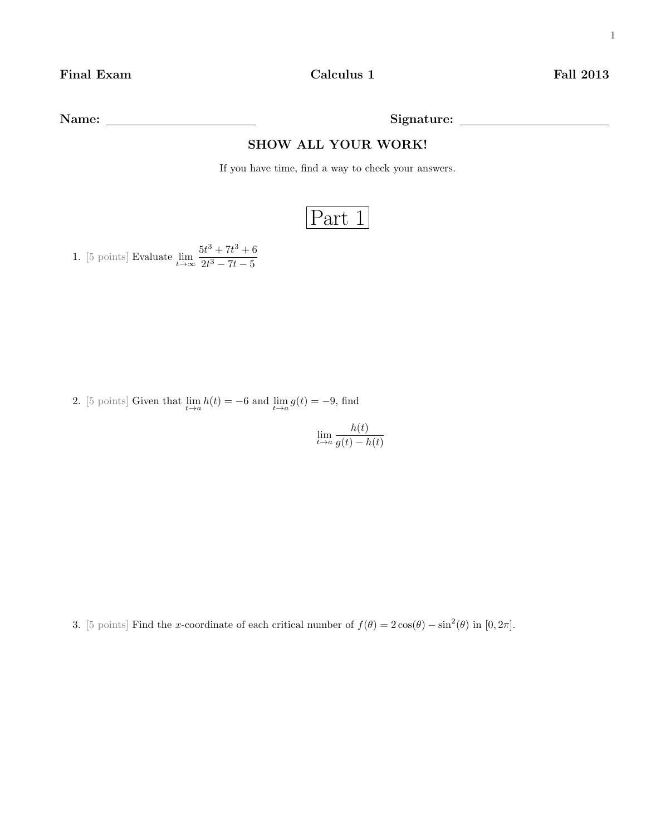Name: Signature:

## SHOW ALL YOUR WORK!

If you have time, find a way to check your answers.

## Part 1

1. [5 points] Evaluate  $\lim_{t \to \infty} \frac{5t^3 + 7t^3 + 6}{2t^3 - 7t - 5}$  $2t^3 - 7t - 5$ 

2. [5 points] Given that  $\lim_{t \to a} h(t) = -6$  and  $\lim_{t \to a} g(t) = -9$ , find

 $\lim_{t\to a}\frac{h(t)}{q(t)-l}$  $g(t) - h(t)$ 

3. [5 points] Find the x-coordinate of each critical number of  $f(\theta) = 2\cos(\theta) - \sin^2(\theta)$  in [0,  $2\pi$ ].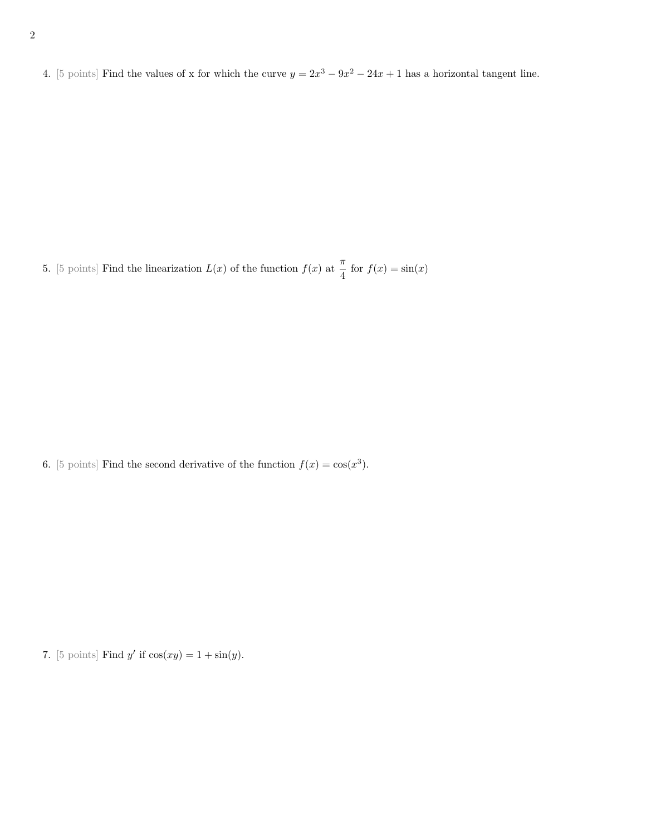4. [5 points] Find the values of x for which the curve  $y = 2x^3 - 9x^2 - 24x + 1$  has a horizontal tangent line.

5. [5 points] Find the linearization  $L(x)$  of the function  $f(x)$  at  $\frac{\pi}{4}$  for  $f(x) = \sin(x)$ 

6. [5 points] Find the second derivative of the function  $f(x) = \cos(x^3)$ .

7. [5 points] Find y' if  $cos(xy) = 1 + sin(y)$ .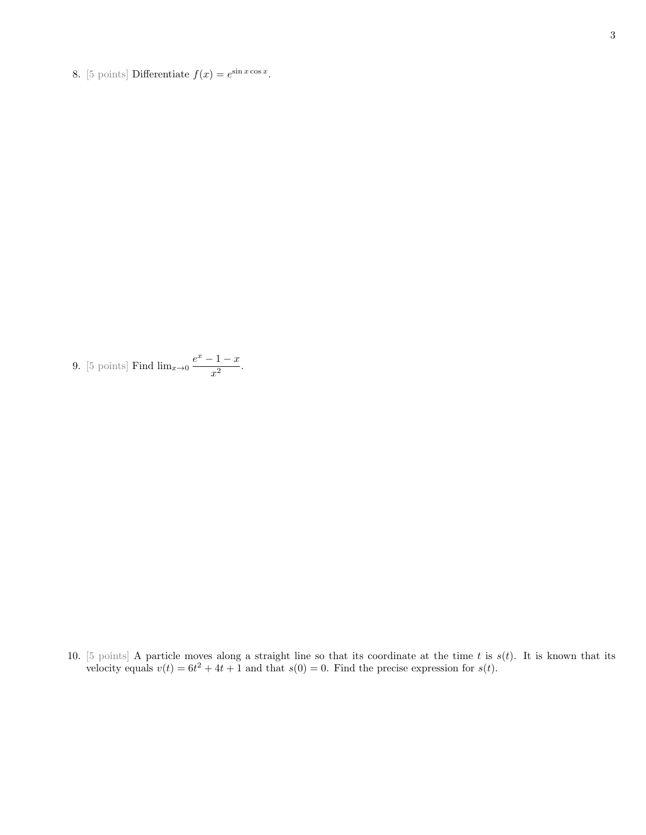8. [5 points] Differentiate  $f(x) = e^{\sin x \cos x}$ .

9. [5 points] Find 
$$
\lim_{x\to 0} \frac{e^x - 1 - x}{x^2}
$$
.

10. [5 points] A particle moves along a straight line so that its coordinate at the time t is  $s(t)$ . It is known that its velocity equals  $v(t) = 6t^2 + 4t + 1$  and that  $s(0) = 0$ . Find the precise expression for  $s(t)$ .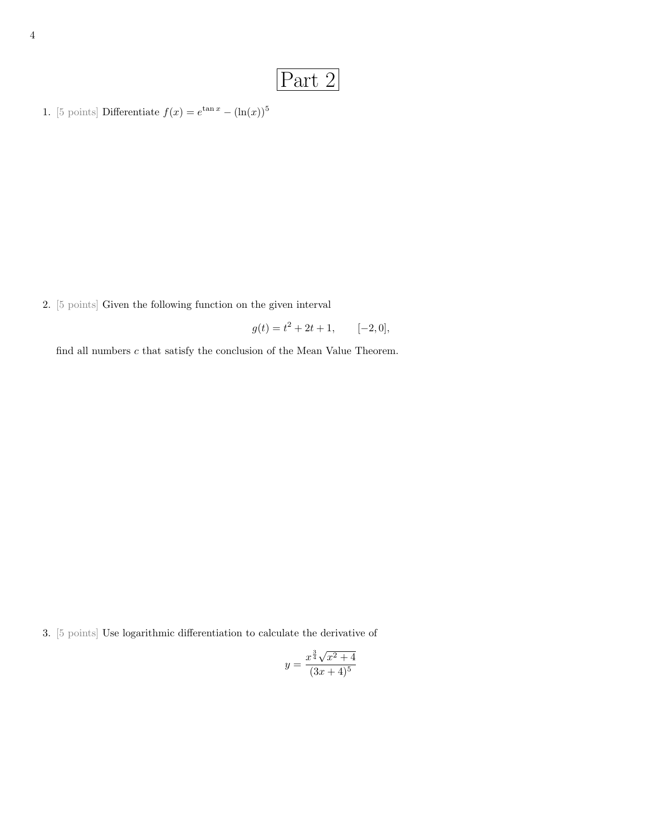## Part 2

1. [5 points] Differentiate  $f(x) = e^{\tan x} - (\ln(x))^5$ 

2. [5 points] Given the following function on the given interval

 $g(t) = t^2 + 2t + 1, \qquad [-2, 0],$ 

find all numbers  $c$  that satisfy the conclusion of the Mean Value Theorem.

3. [5 points] Use logarithmic differentiation to calculate the derivative of

$$
y = \frac{x^{\frac{3}{4}}\sqrt{x^2 + 4}}{(3x + 4)^5}
$$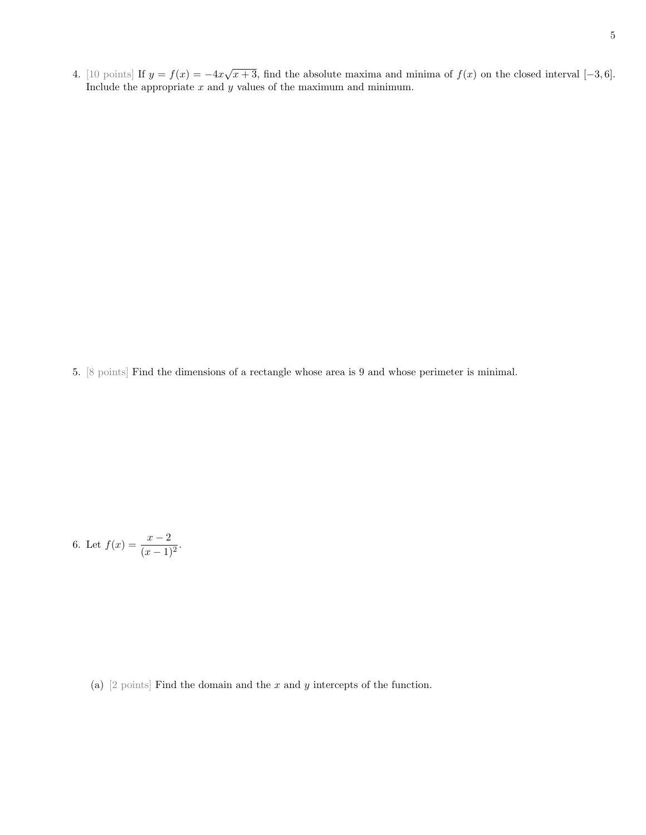4. [10 points] If  $y = f(x) = -4x\sqrt{x+3}$ , find the absolute maxima and minima of  $f(x)$  on the closed interval [-3,6]. Include the appropriate  $x$  and  $y$  values of the maximum and minimum.

5. [8 points] Find the dimensions of a rectangle whose area is 9 and whose perimeter is minimal.

6. Let 
$$
f(x) = \frac{x-2}{(x-1)^2}
$$
.

(a)  $[2 \text{ points}]$  Find the domain and the x and y intercepts of the function.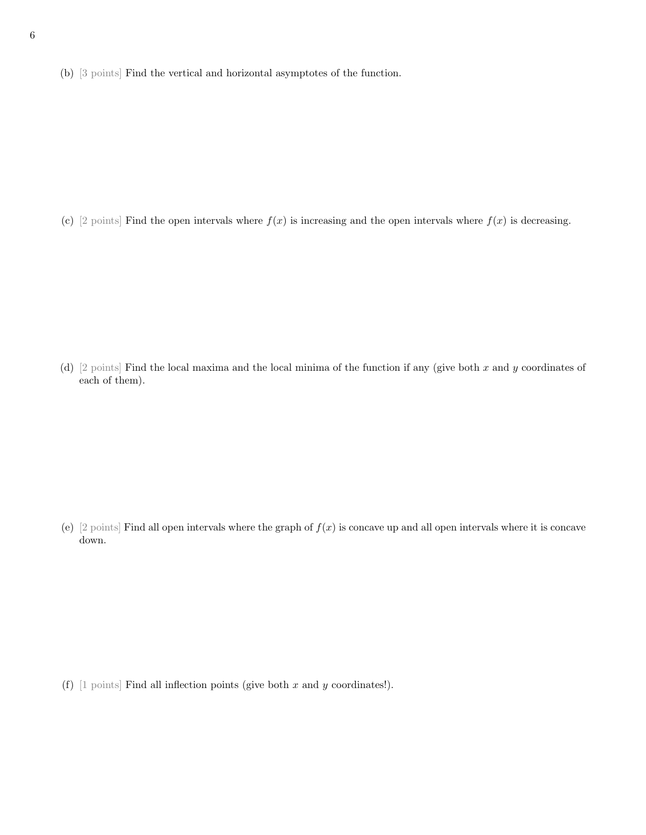(b) [3 points] Find the vertical and horizontal asymptotes of the function.

(c) [2 points] Find the open intervals where  $f(x)$  is increasing and the open intervals where  $f(x)$  is decreasing.

(d) [2 points] Find the local maxima and the local minima of the function if any (give both x and y coordinates of each of them).

(e) [2 points] Find all open intervals where the graph of  $f(x)$  is concave up and all open intervals where it is concave down.

(f)  $[1 \text{ points}]$  Find all inflection points (give both x and y coordinates!).